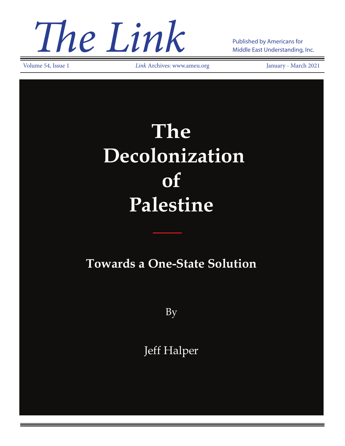**The Link** Published by Americans for Anidale East Understanding, Inc.

Volume 54, Issue 1 *Link* Archives: www.ameu.org January - March 2021

Middle East Understanding, Inc.

# The Decolonization **of** Palestine

# **Towards a One-State Solution**

By

Jeff Halper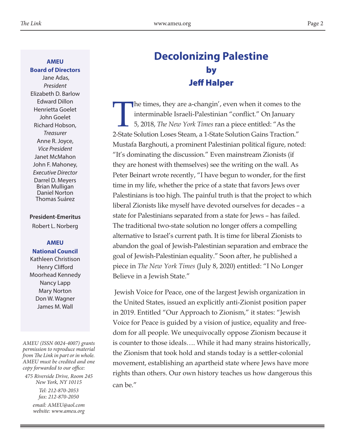**AMEU** 

**Board of Directors** Jane Adas, *President* Elizabeth D. Barlow Edward Dillon Henrietta Goelet John Goelet Richard Hobson, *Treasurer* Anne R. Joyce, *Vice President* Janet McMahon John F. Mahoney, *Executive Director* Darrel D. Meyers Brian Mulligan Daniel Norton Thomas Suárez

**President-Emeritus** Robert L. Norberg

#### **AMEU**

#### **National Council**

Kathleen Christison Henry Clifford Moorhead Kennedy Nancy Lapp Mary Norton Don W. Wagner James M. Wall

*AMEU (ISSN 0024-4007) grants permission to reproduce material from The Link in part or in whole. AMEU must be credited and one copy forwarded to our office:*

*475 Riverside Drive, Room 245 New York, NY 10115 Tel: 212-870-2053 fax: 212-870-2050 email: AMEU@aol.com website: www.ameu.org*

## **Decolonizing Palestine** by Jeff Halper

The times, they are a-changin', even when it comes to the interminable Israeli-Palestinian "conflict." On January 5, 2018, *The New York Times* ran a piece entitled: "As the 2-State Solution Loses Steam, a 1-State Solution Gains Traction." Mustafa Barghouti, a prominent Palestinian political figure, noted: "It's dominating the discussion." Even mainstream Zionists (if they are honest with themselves) see the writing on the wall. As Peter Beinart wrote recently, "I have begun to wonder, for the first time in my life, whether the price of a state that favors Jews over Palestinians is too high. The painful truth is that the project to which liberal Zionists like myself have devoted ourselves for decades – a state for Palestinians separated from a state for Jews – has failed. The traditional two-state solution no longer offers a compelling alternative to Israel's current path. It is time for liberal Zionists to abandon the goal of Jewish-Palestinian separation and embrace the goal of Jewish-Palestinian equality." Soon after, he published a piece in *The New York Times* (July 8, 2020) entitled: "I No Longer Believe in a Jewish State."

Jewish Voice for Peace, one of the largest Jewish organization in the United States, issued an explicitly anti-Zionist position paper in 2019. Entitled "Our Approach to Zionism," it states: "Jewish Voice for Peace is guided by a vision of justice, equality and freedom for all people. We unequivocally oppose Zionism because it is counter to those ideals…. While it had many strains historically, the Zionism that took hold and stands today is a settler-colonial movement, establishing an apartheid state where Jews have more rights than others. Our own history teaches us how dangerous this can be."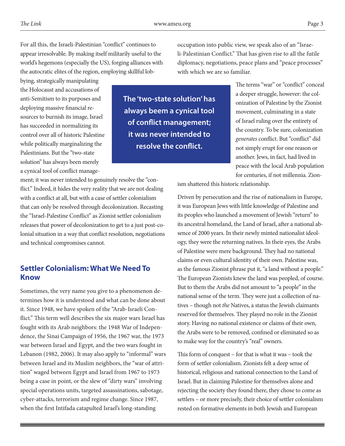For all this, the Israeli-Palestinian "conflict" continues to appear irresolvable. By making itself militarily useful to the world's hegemons (especially the US), forging alliances with the autocratic elites of the region, employing skillful lob-

bying, strategically manipulating the Holocaust and accusations of anti-Semitism to its purposes and deploying massive financial resources to burnish its image, Israel has succeeded in normalizing its control over all of historic Palestine while politically marginalizing the Palestinians. But the "two-state solution" has always been merely a cynical tool of conflict manage-

ment; it was never intended to genuinely resolve the "conflict." Indeed, it hides the very reality that we are not dealing with a conflict at all, but with a case of settler colonialism that can only be resolved through decolonization. Recasting the "Israel-Palestine Conflict" as Zionist settler colonialism releases that power of decolonization to get to a just post-colonial situation in a way that conflict resolution, negotiations and technical compromises cannot.

## **Settler Colonialism: What We Need To Know**

Sometimes, the very name you give to a phenomenon determines how it is understood and what can be done about it. Since 1948, we have spoken of the "Arab-Israeli Conflict." This term well describes the six major wars Israel has fought with its Arab neighbors: the 1948 War of Independence, the Sinai Campaign of 1956, the 1967 war, the 1973 war between Israel and Egypt, and the two wars fought in Lebanon (1982, 2006). It may also apply to "informal" wars between Israel and its Muslim neighbors, the "war of attrition" waged between Egypt and Israel from 1967 to 1973 being a case in point, or the slew of "dirty wars" involving special operations units, targeted assassinations, sabotage, cyber-attacks, terrorism and regime change. Since 1987, when the first Intifada catapulted Israel's long-standing

**The 'two-state solution' has always beem a cynical tool of conflict management; it was never intended to resolve the conflict.**

occupation into public view, we speak also of an "Israeli-Palestinian Conflict." That has given rise to all the futile diplomacy, negotiations, peace plans and "peace processes" with which we are so familiar.

> The terms "war" or "conflict" conceal a deeper struggle, however: the colonization of Palestine by the Zionist movement, culminating in a state of Israel ruling over the entirety of the country. To be sure, colonization *generates* conflict. But "conflict" did not simply erupt for one reason or another. Jews, in fact, had lived in peace with the local Arab population for centuries, if not millennia. Zion-

ism shattered this historic relationship.

Driven by persecution and the rise of nationalism in Europe, it was European Jews with little knowledge of Palestine and its peoples who launched a movement of Jewish "return" to its ancestral homeland, the Land of Israel, after a national absence of 2000 years. In their newly minted nationalist ideology, they were the returning natives. In their eyes, the Arabs of Palestine were mere background. They had no national claims or even cultural identity of their own. Palestine was, as the famous Zionist phrase put it, "a land without a people." The European Zionists knew the land was peopled, of course. But to them the Arabs did not amount to "a people" in the national sense of the term. They were just a collection of natives – though not *the* Natives, a status the Jewish claimants reserved for themselves. They played no role in the Zionist story. Having no national existence or claims of their own, the Arabs were to be removed, confined or eliminated so as to make way for the country's "real" owners.

This form of conquest – for that is what it was – took the form of settler colonialism. Zionists felt a deep sense of historical, religious and national connection to the Land of Israel. But in claiming Palestine for themselves alone and rejecting the society they found there, they chose to come as settlers – or more precisely, their choice of settler colonialism rested on formative elements in both Jewish and European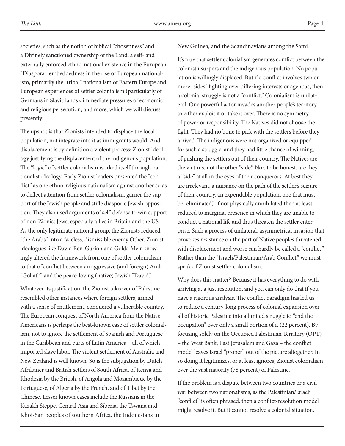societies, such as the notion of biblical "chosenness" and a Divinely sanctioned ownership of the Land; a self- and externally enforced ethno-national existence in the European "Diaspora": embeddedness in the rise of European nationalism, primarily the "tribal" nationalism of Eastern Europe and European experiences of settler colonialism (particularly of Germans in Slavic lands); immediate pressures of economic and religious persecution; and more, which we will discuss presently.

The upshot is that Zionists intended to displace the local population, not integrate into it as immigrants would. And displacement is by definition a violent process: Zionist ideology justifying the displacement of the indigenous population. The "logic" of settler colonialism worked itself through nationalist ideology. Early Zionist leaders presented the "conflict" as one ethno-religious nationalism against another so as to deflect attention from settler colonialism, garner the support of the Jewish people and stifle diasporic Jewish opposition. They also used arguments of self-defense to win support of non-Zionist Jews, especially allies in Britain and the US. As the only legitimate national group, the Zionists reduced "the Arabs" into a faceless, dismissible enemy Other. Zionist ideologues like David Ben-Gurion and Golda Meir knowingly altered the framework from one of settler colonialism to that of conflict between an aggressive (and foreign) Arab "Goliath" and the peace-loving (native) Jewish "David."

Whatever its justification, the Zionist takeover of Palestine resembled other instances where foreign settlers, armed with a sense of entitlement, conquered a vulnerable country. The European conquest of North America from the Native Americans is perhaps the best-known case of settler colonialism, not to ignore the settlement of Spanish and Portuguese in the Caribbean and parts of Latin America – all of which imported slave labor. The violent settlement of Australia and New Zealand is well known. So is the subjugation by Dutch Afrikaner and British settlers of South Africa, of Kenya and Rhodesia by the British, of Angola and Mozambique by the Portuguese, of Algeria by the French, and of Tibet by the Chinese. Lesser known cases include the Russians in the Kazakh Steppe, Central Asia and Siberia, the Tswana and Khoi-San peoples of southern Africa, the Indonesians in

New Guinea, and the Scandinavians among the Sami.

It's true that settler colonialism generates conflict between the colonist usurpers and the indigenous population. No population is willingly displaced. But if a conflict involves two or more "sides" fighting over differing interests or agendas, then a colonial struggle is not a "conflict." Colonialism is unilateral. One powerful actor invades another people's territory to either exploit it or take it over. There is no symmetry of power or responsibility. The Natives did not choose the fight. They had no bone to pick with the settlers before they arrived. The indigenous were not organized or equipped for such a struggle, and they had little chance of winning, of pushing the settlers out of their country. The Natives are the victims, not the other "side." Nor, to be honest, are they a "side" at all in the eyes of their conquerors. At best they are irrelevant, a nuisance on the path of the settler's seizure of their country, an expendable population, one that must be "eliminated," if not physically annihilated then at least reduced to marginal presence in which they are unable to conduct a national life and thus threaten the settler enterprise. Such a process of unilateral, asymmetrical invasion that provokes resistance on the part of Native peoples threatened with displacement and worse can hardly be called a "conflict." Rather than the "Israeli/Palestinian/Arab Conflict," we must speak of Zionist settler colonialism.

Why does this matter? Because it has everything to do with arriving at a just resolution, and you can only do that if you have a rigorous analysis. The conflict paradigm has led us to reduce a century-long process of colonial expansion over all of historic Palestine into a limited struggle to "end the occupation" over only a small portion of it (22 percent). By focusing solely on the Occupied Palestinian Territory (OPT) – the West Bank, East Jerusalem and Gaza – the conflict model leaves Israel "proper" out of the picture altogether. In so doing it legitimizes, or at least ignores, Zionist colonialism over the vast majority (78 percent) of Palestine.

If the problem is a dispute between two countries or a civil war between two nationalisms, as the Palestinian/Israeli "conflict" is often phrased, then a conflict-resolution model might resolve it. But it cannot resolve a colonial situation.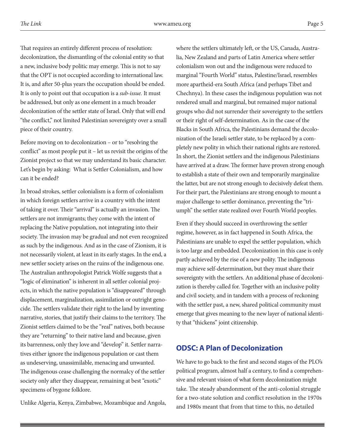That requires an entirely different process of resolution: decolonization, the dismantling of the colonial entity so that a new, inclusive body politic may emerge. This is not to say that the OPT is not occupied according to international law. It is, and after 50-plus years the occupation should be ended. It is only to point out that occupation is a *sub-issue.* It must be addressed, but only as one element in a much broader decolonization of the settler state of Israel. Only that will end "the conflict," not limited Palestinian sovereignty over a small piece of their country.

Before moving on to decolonization – or to "resolving the conflict" as most people put it – let us revisit the origins of the Zionist project so that we may understand its basic character. Let's begin by asking: What is Settler Colonialism, and how can it be ended?

In broad strokes, settler colonialism is a form of colonialism in which foreign settlers arrive in a country with the intent of taking it over. Their "arrival" is actually an invasion. The settlers are not immigrants; they come with the intent of replacing the Native population, not integrating into their society. The invasion may be gradual and not even recognized as such by the indigenous. And as in the case of Zionism, it is not necessarily violent, at least in its early stages. In the end, a new settler society arises on the ruins of the indigenous one. The Australian anthropologist Patrick Wolfe suggests that a "logic of elimination" is inherent in all settler colonial projects, in which the native population is "disappeared" through displacement, marginalization, assimilation or outright genocide. The settlers validate their right to the land by inventing narrative, stories, that justify their claims to the territory. The Zionist settlers claimed to be the "real" natives, both because they are "returning" to their native land and because, given its barrenness, only they love and "develop" it. Settler narratives either ignore the indigenous population or cast them as undeserving, unassimilable, menacing and unwanted. The indigenous cease challenging the normalcy of the settler society only after they disappear, remaining at best "exotic" specimens of bygone folklore.

Unlike Algeria, Kenya, Zimbabwe, Mozambique and Angola,

where the settlers ultimately left, or the US, Canada, Australia, New Zealand and parts of Latin America where settler colonialism won out and the indigenous were reduced to marginal "Fourth World" status, Palestine/Israel, resembles more apartheid-era South Africa (and perhaps Tibet and Chechnya). In these cases the indigenous population was not rendered small and marginal, but remained major national groups who did not surrender their sovereignty to the settlers or their right of self-determination. As in the case of the Blacks in South Africa, the Palestinians demand the decolonization of the Israeli settler state, to be replaced by a completely new polity in which their national rights are restored. In short, the Zionist settlers and the indigenous Palestinians have arrived at a draw. The former have proven strong enough to establish a state of their own and temporarily marginalize the latter, but are not strong enough to decisively defeat them. For their part, the Palestinians are strong enough to mount a major challenge to settler dominance, preventing the "triumph" the settler state realized over Fourth World peoples.

Even if they should succeed in overthrowing the settler regime, however, as in fact happened in South Africa, the Palestinians are unable to expel the settler population, which is too large and embedded. Decolonization in this case is only partly achieved by the rise of a new polity. The indigenous may achieve self-determination, but they must share their sovereignty with the settlers. An additional phase of decolonization is thereby called for. Together with an inclusive polity and civil society, and in tandem with a process of reckoning with the settler past, a new, shared political community must emerge that gives meaning to the new layer of national identity that "thickens" joint citizenship.

#### **ODSC: A Plan of Decolonization**

We have to go back to the first and second stages of the PLO's political program, almost half a century, to find a comprehensive and relevant vision of what form decolonization might take. The steady abandonment of the anti-colonial struggle for a two-state solution and conflict resolution in the 1970s and 1980s meant that from that time to this, no detailed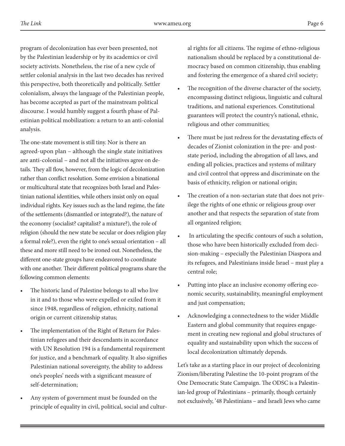program of decolonization has ever been presented, not by the Palestinian leadership or by its academics or civil society activists. Nonetheless, the rise of a new cycle of settler colonial analysis in the last two decades has revived this perspective, both theoretically and politically. Settler colonialism, always the language of the Palestinian people, has become accepted as part of the mainstream political discourse. I would humbly suggest a fourth phase of Palestinian political mobilization: a return to an anti-colonial analysis.

The one-state movement is still tiny. Nor is there an agreed-upon plan – although the single state initiatives are anti-colonial – and not all the initiatives agree on details. They all flow, however, from the logic of decolonization rather than conflict resolution. Some envision a binational or multicultural state that recognizes both Israel and Palestinian national identities, while others insist only on equal individual rights. Key issues such as the land regime, the fate of the settlements (dismantled or integrated?), the nature of the economy (socialist? capitalist? a mixture?), the role of religion (should the new state be secular or does religion play a formal role?), even the right to one's sexual orientation – all these and more still need to be ironed out. Nonetheless, the different one-state groups have endeavored to coordinate with one another. Their different political programs share the following common elements:

- The historic land of Palestine belongs to all who live in it and to those who were expelled or exiled from it since 1948, regardless of religion, ethnicity, national origin or current citizenship status;
- The implementation of the Right of Return for Palestinian refugees and their descendants in accordance with UN Resolution 194 is a fundamental requirement for justice, and a benchmark of equality. It also signifies Palestinian national sovereignty, the ability to address one's peoples' needs with a significant measure of self-determination;
- Any system of government must be founded on the principle of equality in civil, political, social and cultur-

al rights for all citizens. The regime of ethno-religious nationalism should be replaced by a constitutional democracy based on common citizenship, thus enabling and fostering the emergence of a shared civil society;

- The recognition of the diverse character of the society, encompassing distinct religious, linguistic and cultural traditions, and national experiences. Constitutional guarantees will protect the country's national, ethnic, religious and other communities;
- There must be just redress for the devastating effects of decades of Zionist colonization in the pre- and poststate period, including the abrogation of all laws, and ending all policies, practices and systems of military and civil control that oppress and discriminate on the basis of ethnicity, religion or national origin;
- The creation of a non-sectarian state that does not privilege the rights of one ethnic or religious group over another and that respects the separation of state from all organized religion;
- In articulating the specific contours of such a solution, those who have been historically excluded from decision-making – especially the Palestinian Diaspora and its refugees, and Palestinians inside Israel – must play a central role;
- Putting into place an inclusive economy offering economic security, sustainability, meaningful employment and just compensation;
- Acknowledging a connectedness to the wider Middle Eastern and global community that requires engagement in creating new regional and global structures of equality and sustainability upon which the success of local decolonization ultimately depends.

Let's take as a starting place in our project of decolonizing Zionism/liberating Palestine the 10-point program of the One Democratic State Campaign. The ODSC is a Palestinian-led group of Palestinians – primarily, though certainly not exclusively, '48 Palestinians – and Israeli Jews who came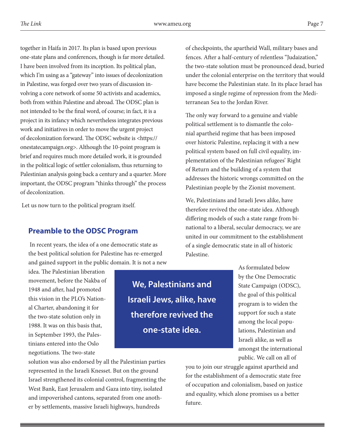**We, Palestinians and** 

**Israeli Jews, alike, have** 

**therefore revived the** 

**one-state idea.**

together in Haifa in 2017. Its plan is based upon previous one-state plans and conferences, though is far more detailed. I have been involved from its inception. Its political plan, which I'm using as a "gateway" into issues of decolonization in Palestine, was forged over two years of discussion involving a core network of some 50 activists and academics, both from within Palestine and abroad. The ODSC plan is not intended to be the final word, of course; in fact, it is a project in its infancy which nevertheless integrates previous work and initiatives in order to move the urgent project of decolonization forward. The ODSC website is <https:// onestatecampaign.org>. Although the 10-point program is brief and requires much more detailed work, it is grounded in the political logic of settler colonialism, thus returning to Palestinian analysis going back a century and a quarter. More important, the ODSC program "thinks through" the process of decolonization.

Let us now turn to the political program itself.

### **Preamble to the ODSC Program**

In recent years, the idea of a one democratic state as the best political solution for Palestine has re-emerged and gained support in the public domain. It is not a new

idea. The Palestinian liberation movement, before the Nakba of 1948 and after, had promoted this vision in the PLO's National Charter, abandoning it for the two-state solution only in 1988. It was on this basis that, in September 1993, the Palestinians entered into the Oslo negotiations. The two-state

solution was also endorsed by all the Palestinian parties represented in the Israeli Knesset. But on the ground Israel strengthened its colonial control, fragmenting the West Bank, East Jerusalem and Gaza into tiny, isolated and impoverished cantons, separated from one another by settlements, massive Israeli highways, hundreds

of checkpoints, the apartheid Wall, military bases and fences. After a half-century of relentless "Judaization," the two-state solution must be pronounced dead, buried under the colonial enterprise on the territory that would have become the Palestinian state. In its place Israel has imposed a single regime of repression from the Mediterranean Sea to the Jordan River.

The only way forward to a genuine and viable political settlement is to dismantle the colonial apartheid regime that has been imposed over historic Palestine, replacing it with a new political system based on full civil equality, implementation of the Palestinian refugees' Right of Return and the building of a system that addresses the historic wrongs committed on the Palestinian people by the Zionist movement.

We, Palestinians and Israeli Jews alike, have therefore revived the one-state idea. Although differing models of such a state range from binational to a liberal, secular democracy, we are united in our commitment to the establishment of a single democratic state in all of historic Palestine.

> As formulated below by the One Democratic State Campaign (ODSC), the goal of this political program is to widen the support for such a state among the local populations, Palestinian and Israeli alike, as well as amongst the international public. We call on all of

you to join our struggle against apartheid and for the establishment of a democratic state free of occupation and colonialism, based on justice and equality, which alone promises us a better future.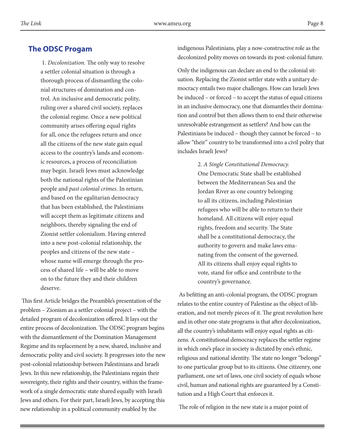### **The ODSC Progam**

1. *Decolonization.* The only way to resolve a settler colonial situation is through a thorough process of dismantling the colonial structures of domination and control. An inclusive and democratic polity, ruling over a shared civil society, replaces the colonial regime. Once a new political community arises offering equal rights for all, once the refugees return and once all the citizens of the new state gain equal access to the country's lands and economic resources, a process of reconciliation may begin. Israeli Jews must acknowledge both the national rights of the Palestinian people and *past colonial crimes*. In return, and based on the egalitarian democracy that has been established, the Palestinians will accept them as legitimate citizens and neighbors, thereby signaling the end of Zionist settler colonialism. Having entered into a new post-colonial relationship, the peoples and citizens of the new state – whose name will emerge through the process of shared life – will be able to move on to the future they and their children deserve.

 This first Article bridges the Preamble's presentation of the problem – Zionism as a settler colonial project – with the detailed program of decolonization offered. It lays out the entire process of decolonization. The ODSC program begins with the dismantlement of the Domination Management Regime and its replacement by a new, shared, inclusive and democratic polity and civil society. It progresses into the new post-colonial relationship between Palestinians and Israeli Jews. In this new relationship, the Palestinians regain their sovereignty, their rights and their country, within the framework of a single democratic state shared equally with Israeli Jews and others. For their part, Israeli Jews, by accepting this new relationship in a political community enabled by the

indigenous Palestinians, play a now-constructive role as the decolonized polity moves on towards its post-colonial future.

Only the indigenous can declare an end to the colonial situation. Replacing the Zionist settler state with a unitary democracy entails two major challenges. How can Israeli Jews be induced – or forced – to accept the status of equal citizens in an inclusive democracy, one that dismantles their domination and control but then allows them to end their otherwise unresolvable estrangement as settlers? And how can the Palestinians be induced – though they cannot be forced – to allow "their" country to be transformed into a civil polity that includes Israeli Jews?

> 2. *A Single Constitutional Democracy.* One Democratic State shall be established between the Mediterranean Sea and the Jordan River as one country belonging to all its citizens, including Palestinian refugees who will be able to return to their homeland. All citizens will enjoy equal rights, freedom and security. The State shall be a constitutional democracy, the authority to govern and make laws emanating from the consent of the governed. All its citizens shall enjoy equal rights to vote, stand for office and contribute to the country's governance.

 As befitting an anti-colonial program, the ODSC program relates to the entire country of Palestine as the object of liberation, and not merely pieces of it. The great revolution here and in other one-state programs is that after decolonization, all the country's inhabitants will enjoy equal rights as citizens. A constitutional democracy replaces the settler regime in which one's place in society is dictated by one's ethnic, religious and national identity. The state no longer "belongs" to one particular group but to its citizens. One citizenry, one parliament, one set of laws, one civil society of equals whose civil, human and national rights are guaranteed by a Constitution and a High Court that enforces it.

The role of religion in the new state is a major point of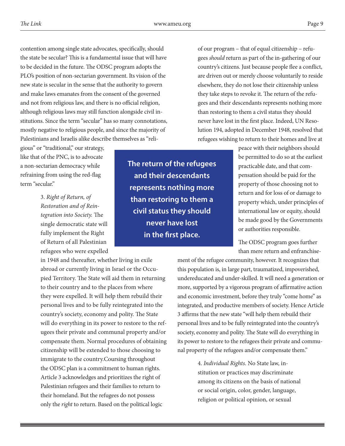contention among single state advocates, specifically, should the state be secular? This is a fundamental issue that will have to be decided in the future. The ODSC program adopts the PLO's position of non-sectarian government. Its vision of the new state is secular in the sense that the authority to govern and make laws emanates from the consent of the governed and not from religious law, and there is no official religion, although religious laws may still function alongside civil institutions. Since the term "secular" has so many connotations, mostly negative to religious people, and since the majority of Palestinians and Israelis alike describe themselves as "reli-

gious" or "traditional," our strategy, like that of the PNC, is to advocate a non-sectarian democracy while refraining from using the red-flag term "secular."

> 3. *Right of Return, of Restoration and of Reintegration into Society.* The single democratic state will fully implement the Right of Return of all Palestinian refugees who were expelled

in 1948 and thereafter, whether living in exile abroad or currently living in Israel or the Occupied Territory. The State will aid them in returning to their country and to the places from where they were expelled. It will help them rebuild their personal lives and to be fully reintegrated into the country's society, economy and polity. The State will do everything in its power to restore to the refugees their private and communal property and/or compensate them. Normal procedures of obtaining citizenship will be extended to those choosing to immigrate to the country.Coursing throughout the ODSC plan is a commitment to human rights. Article 3 acknowledges and prioritizes the right of Palestinian refugees and their families to return to their homeland. But the refugees do not possess only the *right* to return. Based on the political logic

**The return of the refugees and their descendants represents nothing more than restoring to them a civil status they should never have lost in the first place.**

of our program – that of equal citizenship – refugees *should* return as part of the in-gathering of our country's citizens. Just because people flee a conflict, are driven out or merely choose voluntarily to reside elsewhere, they do not lose their citizenship unless they take steps to revoke it. The return of the refugees and their descendants represents nothing more than restoring to them a civil status they should never have lost in the first place. Indeed, UN Resolution 194, adopted in December 1948, resolved that refugees wishing to return to their homes and live at

> peace with their neighbors should be permitted to do so at the earliest practicable date, and that compensation should be paid for the property of those choosing not to return and for loss of or damage to property which, under principles of international law or equity, should be made good by the Governments or authorities responsible.

The ODSC program goes further than mere return and enfranchise-

ment of the refugee community, however. It recognizes that this population is, in large part, traumatized, impoverished, undereducated and under-skilled. It will need a generation or more, supported by a vigorous program of affirmative action and economic investment, before they truly "come home" as integrated, and productive members of society. Hence Article 3 affirms that the new state "will help them rebuild their personal lives and to be fully reintegrated into the country's society, economy and polity. The State will do everything in its power to restore to the refugees their private and communal property of the refugees and/or compensate them."

> 4. *Individual Rights.* No State law, institution or practices may discriminate among its citizens on the basis of national or social origin, color, gender, language, religion or political opinion, or sexual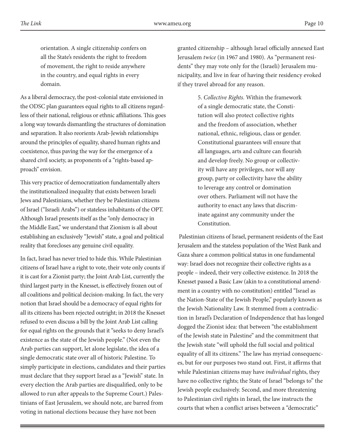orientation. A single citizenship confers on all the State's residents the right to freedom of movement, the right to reside anywhere in the country, and equal rights in every domain.

As a liberal democracy, the post-colonial state envisioned in the ODSC plan guarantees equal rights to all citizens regardless of their national, religious or ethnic affiliations. This goes a long way towards dismantling the structures of domination and separation. It also reorients Arab-Jewish relationships around the principles of equality, shared human rights and coexistence, thus paving the way for the emergence of a shared civil society, as proponents of a "rights-based approach" envision.

This very practice of democratization fundamentally alters the institutionalized inequality that exists between Israeli Jews and Palestinians, whether they be Palestinian citizens of Israel ("Israeli Arabs") or stateless inhabitants of the OPT. Although Israel presents itself as the "only democracy in the Middle East," we understand that Zionism is all about establishing an exclusively "Jewish" state, a goal and political reality that forecloses any genuine civil equality.

In fact, Israel has never tried to hide this. While Palestinian citizens of Israel have a right to vote, their vote only counts if it is cast for a Zionist party; the Joint Arab List, currently the third largest party in the Knesset, is effectively frozen out of all coalitions and political decision-making. In fact, the very notion that Israel should be a democracy of equal rights for all its citizens has been rejected outright; in 2018 the Knesset refused to even discuss a bill by the Joint Arab List calling for equal rights on the grounds that it "seeks to deny Israel's existence as the state of the Jewish people." (Not even the Arab parties can support, let alone legislate, the idea of a single democratic state over all of historic Palestine. To simply participate in elections, candidates and their parties must declare that they support Israel as a "Jewish" state. In every election the Arab parties are disqualified, only to be allowed to run after appeals to the Supreme Court.) Palestinians of East Jerusalem, we should note, are barred from voting in national elections because they have not been

granted citizenship – although Israel officially annexed East Jerusalem *twice* (in 1967 and 1980). As "permanent residents" they may vote only for the (Israeli) Jerusalem municipality, and live in fear of having their residency evoked if they travel abroad for any reason.

> 5. *Collective Rights.* Within the framework of a single democratic state, the Constitution will also protect collective rights and the freedom of association, whether national, ethnic, religious, class or gender. Constitutional guarantees will ensure that all languages, arts and culture can flourish and develop freely. No group or collectivity will have any privileges, nor will any group, party or collectivity have the ability to leverage any control or domination over others. Parliament will not have the authority to enact any laws that discriminate against any community under the Constitution.

 Palestinian citizens of Israel, permanent residents of the East Jerusalem and the stateless population of the West Bank and Gaza share a common political status in one fundamental way: Israel does not recognize their collective rights as a people – indeed, their very collective existence. In 2018 the Knesset passed a Basic Law (akin to a constitutional amendment in a country with no constitution) entitled "Israel as the Nation-State of the Jewish People," popularly known as the Jewish Nationality Law. It stemmed from a contradiction in Israel's Declaration of Independence that has longed dogged the Zionist idea: that between "the establishment of the Jewish state in Palestine" and the commitment that the Jewish state "will uphold the full social and political equality of all its citizens." The law has myriad consequences, but for our purposes two stand out. First, it affirms that while Palestinian citizens may have *individual* rights, they have no collective rights; the State of Israel "belongs to" the Jewish people exclusively. Second, and more threatening to Palestinian civil rights in Israel, the law instructs the courts that when a conflict arises between a "democratic"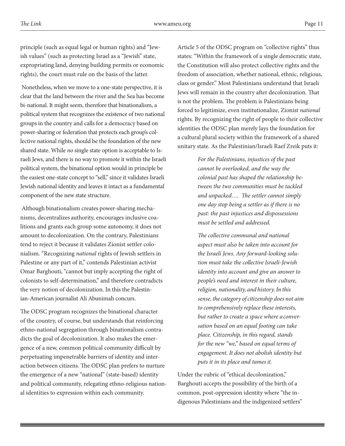principle (such as equal legal or human rights) and "Jewish values" (such as protecting Israel as a "Jewish" state, expropriating land, denying building permits or economic rights), the court must rule on the basis of the latter.

 Nonetheless, when we move to a one-state perspective, it is clear that the land between the river and the Sea has become bi-national. It might seem, therefore that binationalism, a political system that recognizes the existence of two national groups in the country and calls for a democracy based on power-sharing or federation that protects each group's collective national rights, should be the foundation of the new shared state. While *no* single state option is acceptable to Israeli Jews, and there is no way to promote it within the Israeli political system, the binational option would in principle be the easiest one-state concept to "sell," since it validates Israeli Jewish national identity and leaves it intact as a fundamental component of the new state structure.

 Although binationalism creates power-sharing mechanisms, decentralizes authority, encourages inclusive coalitions and grants each group some autonomy, it does not amount to decolonization. On the contrary, Palestinians tend to reject it because it validates Zionist settler colonialism. "Recognizing *national* rights of Jewish settlers in Palestine or any part of it," contends Palestinian activist Omar Barghouti, "cannot but imply accepting the right of colonists to self-determination," and therefore contradicts the very notion of decolonization. In this the Palestinian-American journalist Ali Abunimah concurs.

The ODSC program recognizes the binational character of the country, of course, but understands that reinforcing ethno‐national segregation through binationalism contradicts the goal of decolonization. It also makes the emergence of a new, common political community difficult by perpetuating impenetrable barriers of identity and interaction between citizens. The ODSC plan prefers to nurture the emergence of a new "national" (state-based) identity and political community, relegating ethno-religious national identities to expression within each community.

Article 5 of the ODSC program on "collective rights" thus states: "Within the framework of a single democratic state, the Constitution will also protect collective rights and the freedom of association, whether national, ethnic, religious, class or gender." Most Palestinians understand that Israeli Jews will remain in the country after decolonization. That is not the problem. The problem is Palestinians being forced to legitimize, even institutionalize, Zionist *national* rights. By recognizing the right of people to their collective identities the ODSC plan merely lays the foundation for a cultural plural society within the framework of a shared unitary state. As the Palestinian/Israeli Raef Zreik puts it:

> *For the Palestinians, injustices of the past cannot be overlooked, and the way the colonial past has shaped the relationship between the two communities must be tackled and unpacked…. The settler cannot simply one day stop being a settler as if there is no past: the past injustices and dispossessions must be settled and addressed.*

*The collective communal and national aspect must also be taken into account for the Israeli Jews. Any forward-looking solution must take the collective Israeli-Jewish identity into account and give an answer to people's need and interest in their culture, religion, nationality, and history. In this sense, the category of citizenship does not aim to comprehensively replace these interests, but rather to create a space where a conversation based on an equal footing can take place. Citizenship, in this regard, stands for the new "we," based on equal terms of engagement. It does not abolish identity but puts it in its place and tames it.*

Under the rubric of "ethical decolonization," Barghouti accepts the possibility of the birth of a common, post-oppression identity where "the indigenous Palestinians and the indigenized settlers"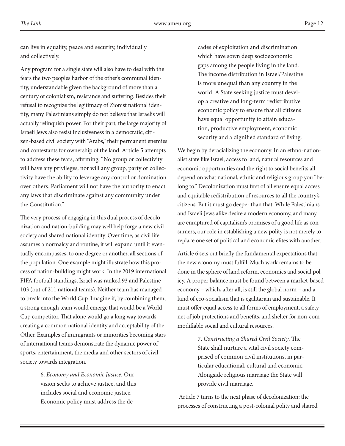can live in equality, peace and security, individually and collectively.

Any program for a single state will also have to deal with the fears the two peoples harbor of the other's communal identity, understandable given the background of more than a century of colonialism, resistance and suffering. Besides their refusal to recognize the legitimacy of Zionist national identity, many Palestinians simply do not believe that Israelis will actually relinquish power. For their part, the large majority of Israeli Jews also resist inclusiveness in a democratic, citizen-based civil society with "Arabs," their permanent enemies and contestants for ownership of the land. Article 5 attempts to address these fears, affirming; "No group or collectivity will have any privileges, nor will any group, party or collectivity have the ability to leverage any control or domination over others. Parliament will not have the authority to enact any laws that discriminate against any community under the Constitution."

The very process of engaging in this dual process of decolonization and nation-building may well help forge a new civil society and shared national identity. Over time, as civil life assumes a normalcy and routine, it will expand until it eventually encompasses, to one degree or another, all sections of the population. One example might illustrate how this process of nation-building might work. In the 2019 international FIFA football standings, Israel was ranked 93 and Palestine 103 (out of 211 national teams). Neither team has managed to break into the World Cup. Imagine if, by combining them, a strong enough team would emerge that would be a World Cup competitor. That alone would go a long way towards creating a common national identity and acceptability of the Other. Examples of immigrants or minorities becoming stars of international teams demonstrate the dynamic power of sports, entertainment, the media and other sectors of civil society towards integration.

> 6. *Economy and Economic Justice.* Our vision seeks to achieve justice, and this includes social and economic justice. Economic policy must address the de

cades of exploitation and discrimination which have sown deep socioeconomic gaps among the people living in the land. The income distribution in Israel/Palestine is more unequal than any country in the world. A State seeking justice must develop a creative and long-term redistributive economic policy to ensure that all citizens have equal opportunity to attain education, productive employment, economic security and a dignified standard of living.

We begin by deracializing the economy. In an ethno-nationalist state like Israel, access to land, natural resources and economic opportunities and the right to social benefits all depend on what national, ethnic and religious group you "belong to." Decolonization must first of all ensure equal access and equitable redistribution of resources to all the country's citizens. But it must go deeper than that. While Palestinians and Israeli Jews alike desire a modern economy, and many are enraptured of capitalism's promises of a good life as consumers, our role in establishing a new polity is not merely to replace one set of political and economic elites with another.

Article 6 sets out briefly the fundamental expectations that the new economy must fulfill. Much work remains to be done in the sphere of land reform, economics and social policy. A proper balance must be found between a market-based economy – which, after all, is still the global norm – and a kind of eco-socialism that is egalitarian and sustainable. It must offer equal access to all forms of employment, a safety net of job protections and benefits, and shelter for non-commodifiable social and cultural resources.

> 7. *Constructing a Shared Civil Society*. The State shall nurture a vital civil society comprised of common civil institutions, in particular educational, cultural and economic. Alongside religious marriage the State will provide civil marriage.

 Article 7 turns to the next phase of decolonization: the processes of constructing a post-colonial polity and shared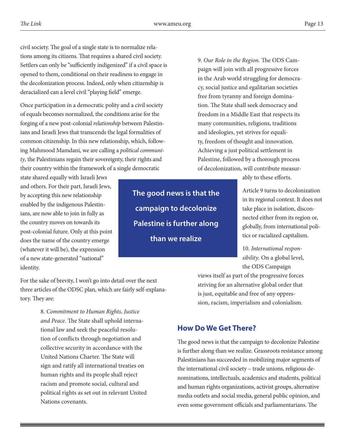civil society. The goal of a single state is to normalize relations among its citizens. That requires a shared civil society. Settlers can only be "sufficiently indigenized" if a civil space is opened to them, conditional on their readiness to engage in the decolonization process. Indeed, only when citizenship is deracialized can a level civil "playing field" emerge.

Once participation in a democratic polity and a civil society of equals becomes normalized, the conditions arise for the forging of a new post-colonial *relationship* between Palestinians and Israeli Jews that transcends the legal formalities of common citizenship. In this new relationship, which, following Mahmood Mamdani, we are calling a *political community*, the Palestinians regain their sovereignty, their rights and their country within the framework of a single democratic

state shared equally with Israeli Jews and others. For their part, Israeli Jews, by accepting this new relationship enabled by the indigenous Palestinians, are now able to join in fully as the country moves on towards its post-colonial future. Only at this point does the name of the country emerge (whatever it will be), the expression of a new state-generated "national" identity.

For the sake of brevity, I won't go into detail over the next three articles of the ODSC plan, which are fairly self-explanatory. They are:

> 8. *Commitment to Human Rights, Justice and Peace.* The State shall uphold international law and seek the peaceful resolution of conflicts through negotiation and collective security in accordance with the United Nations Charter. The State will sign and ratify all international treaties on human rights and its people shall reject racism and promote social, cultural and political rights as set out in relevant United Nations covenants.

9. *Our Role in the Region.* The ODS Campaign will join with all progressive forces in the Arab world struggling for democracy, social justice and egalitarian societies free from tyranny and foreign domination. The State shall seek democracy and freedom in a Middle East that respects its many communities, religions, traditions and ideologies, yet strives for equality, freedom of thought and innovation. Achieving a just political settlement in Palestine, followed by a thorough process of decolonization, will contribute measur-

ably to these efforts.

Article 9 turns to decolonization in its regional context. It does not take place in isolation, disconnected either from its region or, globally, from international politics or racialized capitalism.

10. *International responsibility*. On a global level, the ODS Campaign

views itself as part of the progressive forces striving for an alternative global order that is just, equitable and free of any oppression, racism, imperialism and colonialism.

### **How Do We Get There?**

The good news is that the campaign to decolonize Palestine is further along than we realize. Grassroots resistance among Palestinians has succeeded in mobilizing major segments of the international civil society – trade unions, religious denominations, intellectuals, academics and students, political and human rights organizations, activist groups, alternative media outlets and social media, general public opinion, and even some government officials and parliamentarians. The

**The good news is that the campaign to decolonize Palestine is further along than we realize**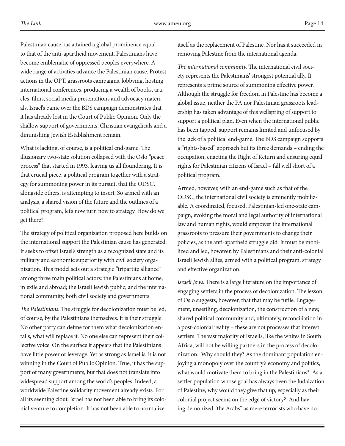Palestinian cause has attained a global prominence equal to that of the anti-apartheid movement. Palestinians have become emblematic of oppressed peoples everywhere. A wide range of activities advance the Palestinian cause. Protest actions in the OPT, grassroots campaigns, lobbying, hosting international conferences, producing a wealth of books, articles, films, social media presentations and advocacy materials. Israel's panic over the BDS campaign demonstrates that it has already lost in the Court of Public Opinion. Only the shallow support of governments, Christian evangelicals and a diminishing Jewish Establishment remain.

What is lacking, of course, is a political end-game. The illusionary two-state solution collapsed with the Oslo "peace process" that started in 1993, leaving us all floundering. It is that crucial piece, a political program together with a strategy for summoning power in its pursuit, that the ODSC, alongside others, is attempting to insert. So armed with an analysis, a shared vision of the future and the outlines of a political program, let's now turn now to strategy. How do we get there?

The strategy of political organization proposed here builds on the international support the Palestinian cause has generated. It seeks to offset Israel's strength as a recognized state and its military and economic superiority with civil society organization. This model sets out a strategic "tripartite alliance" among three main political actors: the Palestinians at home, in exile and abroad; the Israeli Jewish public; and the international community, both civil society and governments.

*The Palestinians.* The struggle for decolonization must be led, of course, by the Palestinians themselves. It is their struggle. No other party can define for them what decolonization entails, what will replace it. No one else can represent their collective voice. On the surface it appears that the Palestinians have little power or leverage. Yet as strong as Israel is, it is not winning in the Court of Public Opinion. True, it has the support of many governments, but that does not translate into widespread support among the world's peoples. Indeed, a worldwide Palestine solidarity movement already exists. For all its seeming clout, Israel has not been able to bring its colonial venture to completion. It has not been able to normalize

itself as the replacement of Palestine. Nor has it succeeded in removing Palestine from the international agenda.

*The international community.* The international civil society represents the Palestinians' strongest potential ally. It represents a prime source of summoning effective power. Although the struggle for freedom in Palestine has become a global issue, neither the PA nor Palestinian grassroots leadership has taken advantage of this wellspring of support to support a political plan. Even when the international public has been tapped, support remains limited and unfocused by the lack of a political end-game. The BDS campaign supports a "rights-based" approach but its three demands – ending the occupation, enacting the Right of Return and ensuring equal rights for Palestinian citizens of Israel – fall well short of a political program.

Armed, however, with an end-game such as that of the ODSC, the international civil society is eminently mobilizable. A coordinated, focused, Palestinian-led one-state campaign, evoking the moral and legal authority of international law and human rights, would empower the international grassroots to pressure their governments to change their policies, as the anti-apartheid struggle did. It must be mobilized and led, however, by Palestinians and their anti-colonial Israeli Jewish allies, armed with a political program, strategy and effective organization.

*Israeli Jews.* There is a large literature on the importance of engaging settlers in the process of decolonization. The lesson of Oslo suggests, however, that that may be futile. Engagement, unsettling, decolonization, the construction of a new, shared political community and, ultimately, reconciliation in a post-colonial reality – these are not processes that interest settlers. The vast majority of Israelis, like the whites in South Africa, will not be willing partners in the process of decolonization. Why should they? As the dominant population enjoying a monopoly over the country's economy and politics, what would motivate them to bring in the Palestinians? As a settler population whose goal has always been the Judaization of Palestine, why would they give that up, especially as their colonial project seems on the edge of victory? And having demonized "the Arabs" as mere terrorists who have no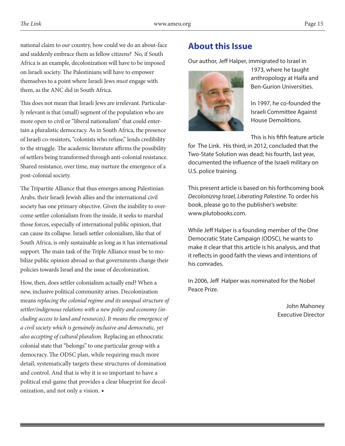national claim to *our* country, how could we do an about-face and suddenly embrace them as fellow citizens? No, if South Africa is an example, decolonization will have to be imposed on Israeli society. The Palestinians will have to empower themselves to a point where Israeli Jews *must* engage with them, as the ANC did in South Africa.

This does not mean that Israeli Jews are irrelevant. Particularly relevant is that (small) segment of the population who are more open to civil or "liberal nationalism" that could entertain a pluralistic democracy. As in South Africa, the presence of Israeli co-resistors, "colonists who refuse," lends credibility to the struggle. The academic literature affirms the possibility of settlers being transformed through anti-colonial resistance. Shared resistance, over time, may nurture the emergence of a post-colonial society.

The Tripartite Alliance that thus emerges among Palestinian Arabs, their Israeli Jewish allies and the international civil society has one primary objective. Given the inability to overcome settler colonialism from the inside, it seeks to marshal those forces, especially of international public opinion, that can cause its collapse. Israeli settler colonialism, like that of South Africa, is only sustainable as long as it has international support. The main task of the Triple Alliance must be to mobilize public opinion abroad so that governments change their policies towards Israel and the issue of decolonization.

How, then, does settler colonialism actually end? When a new, inclusive political community arises. Decolonization means *replacing the colonial regime and its unequal structure of settler/indigenous relations with a new polity and economy (including access to land and resources). It means the emergence of a civil society which is genuinely inclusive and democratic, yet also accepting of cultural pluralism.* Replacing an ethnocratic colonial state that "belongs" to one particular group with a democracy. The ODSC plan, while requiring much more detail, systematically targets these structures of domination and control. And that is why it is so important to have a political end-game that provides a clear blueprint for decolonization, and not only a vision. ■

## About this Issue

Our author, Jeff Halper, immigrated to Israel in



1973, where he taught anthropology at Haifa and Ben-Gurion Universities.

In 1997, he co-founded the Israeli Committee Against House Demolitions.

This is his fifth feature article

for The Link. His third, in 2012, concluded that the Two-State Solution was dead; his fourth, last year, documented the influence of the Israeli military on U.S. police training.

This present article is based on his forthcoming book *Decolonizing Israel, Liberating Palestine*. To order his book, please go to the publisher's website: www.plutobooks.com.

While Jeff Halper is a founding member of the One Democratic State Campaign (ODSC), he wants to make it clear that this article is his analysis, and that it reflects in good faith the views and intentions of his comrades.

In 2006, Jeff Halper was nominated for the Nobel Peace Prize.

> John Mahoney Executive Director